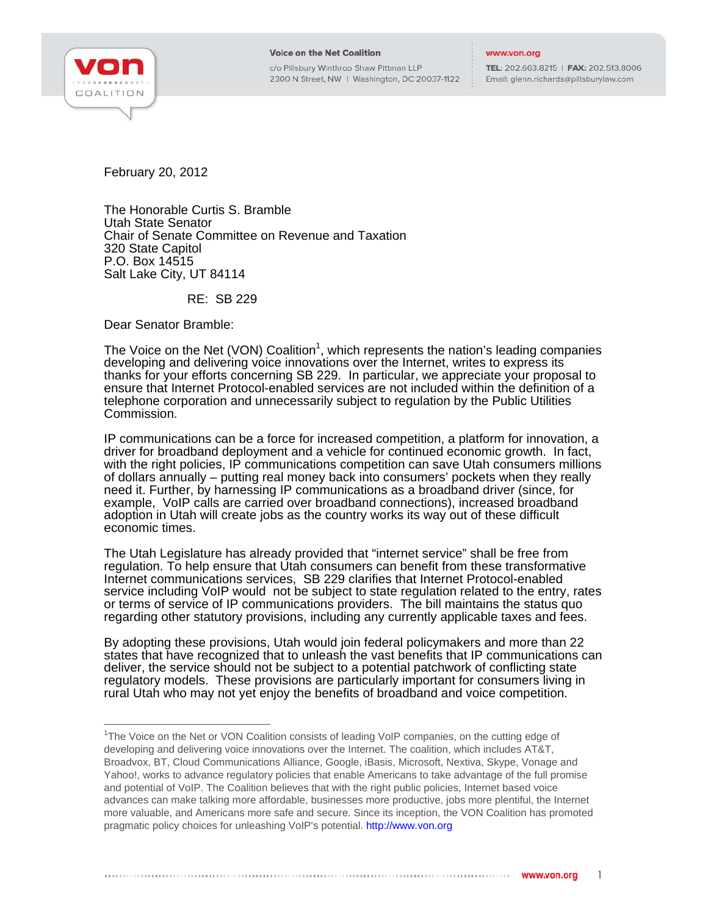

j

## **Voice on the Net Coalition**

c/o Pillsbury Winthrop Shaw Pittman LLP 2300 N Street, NW | Washington, DC 20037-1122

## www.von.org

TEL: 202.663.8215 | FAX: 202.513.8006 Email: glenn.richards@pillsburylaw.com

February 20, 2012

The Honorable Curtis S. Bramble Utah State Senator Chair of Senate Committee on Revenue and Taxation 320 State Capitol P.O. Box 14515 Salt Lake City, UT 84114

RE: SB 229

Dear Senator Bramble:

The Voice on the Net (VON) Coalition<sup>1</sup>, which represents the nation's leading companies developing and delivering voice innovations over the Internet, writes to express its thanks for your efforts concerning SB 229. In particular, we appreciate your proposal to ensure that Internet Protocol-enabled services are not included within the definition of a telephone corporation and unnecessarily subject to regulation by the Public Utilities Commission.

IP communications can be a force for increased competition, a platform for innovation, a driver for broadband deployment and a vehicle for continued economic growth. In fact, with the right policies, IP communications competition can save Utah consumers millions of dollars annually – putting real money back into consumers' pockets when they really need it. Further, by harnessing IP communications as a broadband driver (since, for example, VoIP calls are carried over broadband connections), increased broadband adoption in Utah will create jobs as the country works its way out of these difficult economic times.

The Utah Legislature has already provided that "internet service" shall be free from regulation. To help ensure that Utah consumers can benefit from these transformative Internet communications services, SB 229 clarifies that Internet Protocol-enabled service including VoIP would not be subject to state regulation related to the entry, rates or terms of service of IP communications providers. The bill maintains the status quo regarding other statutory provisions, including any currently applicable taxes and fees.

By adopting these provisions, Utah would join federal policymakers and more than 22 states that have recognized that to unleash the vast benefits that IP communications can deliver, the service should not be subject to a potential patchwork of conflicting state regulatory models. These provisions are particularly important for consumers living in rural Utah who may not yet enjoy the benefits of broadband and voice competition.

<sup>&</sup>lt;sup>1</sup>The Voice on the Net or VON Coalition consists of leading VoIP companies, on the cutting edge of developing and delivering voice innovations over the Internet. The coalition, which includes AT&T, Broadvox, BT, Cloud Communications Alliance, Google, iBasis, Microsoft, Nextiva, Skype, Vonage and Yahoo!, works to advance regulatory policies that enable Americans to take advantage of the full promise and potential of VoIP. The Coalition believes that with the right public policies, Internet based voice advances can make talking more affordable, businesses more productive, jobs more plentiful, the Internet more valuable, and Americans more safe and secure. Since its inception, the VON Coalition has promoted pragmatic policy choices for unleashing VoIP's potential. http://www.von.org